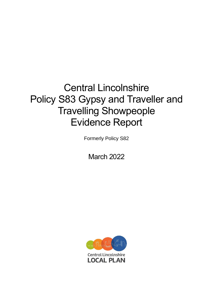# Central Lincolnshire Policy S83 Gypsy and Traveller and Travelling Showpeople Evidence Report

Formerly Policy S82

March 2022

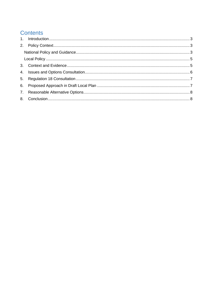## **Contents**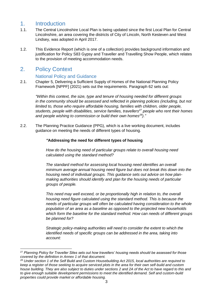### <span id="page-2-0"></span>1. Introduction

- 1.1. The Central Lincolnshire Local Plan is being updated since the first Local Plan for Central Lincolnshire, an area covering the districts of City of Lincoln, North Kesteven and West Lindsey, was adopted in April 2017.
- 1.2. This Evidence Report (which is one of a collection) provides background information and justification for Policy S83 Gypsy and Traveller and Travelling Show People, which relates to the provision of meeting accommodation needs.

#### <span id="page-2-1"></span>2. Policy Context

#### National Policy and Guidance

<span id="page-2-2"></span>2.1. Chapter 5, Delivering a Sufficient Supply of Homes of the National Planning Policy Framework [NPPF] (2021) sets out the requirements. Paragraph 62 sets out:

*"Within this context, the size, type and tenure of housing needed for different groups in the community should be assessed and reflected in planning policies (including, but not limited to, those who require affordable housing, families with children, older people, students, people with disabilities, service families, travellers <sup>27</sup> people who rent their homes and people wishing to commission or build their own homes<sup>28</sup>)."*

2.2. The Planning Practice Guidance (PPG), which is a live working document, includes guidance on meeting the needs of different types of housing.

#### *"***Addressing the need for different types of housing**

*How do the housing need of particular groups relate to overall housing need calculated using the standard method?*

*The standard method for assessing local housing need identifies an overall minimum average annual housing need figure but does not break this down into the housing need of individual groups. This guidance sets out advice on how planmaking authorities should identify and plan for the housing needs of particular groups of people.*

*This need may well exceed, or be proportionally high in relation to, the overall housing need figure calculated using the standard method. This is because the needs of particular groups will often be calculated having consideration to the whole population of an area as a baseline as opposed to the projected new households which form the baseline for the standard method. How can needs of different groups be planned for?*

*Strategic policy-making authorities will need to consider the extent to which the identified needs of specific groups can be addressed in the area, taking into account:*

*<sup>28</sup> Under section 1 of the Self Build and Custom Housebuilding Act 2015, local authorities are required to keep a register of those seeking to acquire serviced plots in the area for their own self-build and custom house building. They are also subject to duties under sections 2 and 2A of the Act to have regard to this and to give enough suitable development permissions to meet the identified demand. Self and custom-build properties could provide market or affordable housing.*

<sup>27</sup> *Planning Policy for Traveller Sites sets out how travellers' housing needs should be assessed for those covered by the definition in Annex 1 of that document.*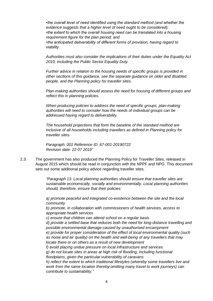*•the overall level of need identified using the standard method (and whether the evidence suggests that a higher level of need ought to be considered); •the extent to which the overall housing need can be translated into a housing requirement figure for the plan period; and •the anticipated deliverability of different forms of provision, having regard to viability.*

*Authorities must also consider the implications of their duties under the Equality Act 2010, including the Public Sector Equality Duty.*

*Further advice in relation to the housing needs of specific groups is provided in other sections of this guidance, see the separate guidance on older and disabled people, and the Planning policy for traveller sites.*

*Plan-making authorities should assess the need for housing of different groups and reflect this in planning policies.*

*When producing policies to address the need of specific groups, plan-making authorities will need to consider how the needs of individual groups can be addressed having regard to deliverability.*

*The household projections that form the baseline of the standard method are inclusive of all households including travellers as defined in Planning policy for traveller sites.*

*Paragraph: 001 Reference ID: 67-001-20190722 Revision date: 22 07 2019"*

2.3. The government has also produced the Planning Policy for Traveller Sites, released in August 2015 which should be read in conjunction with the NPPF and NPG. This document sets out some additional policy advice regarding traveller sites.

> *"Paragraph 13. Local planning authorities should ensure that traveller sites are sustainable economically, socially and environmentally. Local planning authorities should, therefore, ensure that their policies:*

*a) promote peaceful and integrated co-existence between the site and the local community* 

*b) promote, in collaboration with commissioners of health services, access to appropriate health services* 

*c) ensure that children can attend school on a regular basis* 

*d) provide a settled base that reduces both the need for long-distance travelling and possible environmental damage caused by unauthorised encampment* 

*e) provide for proper consideration of the effect of local environmental quality (such as noise and air quality) on the health and well-being of any travellers that may locate there or on others as a result of new development* 

*f) avoid placing undue pressure on local infrastructure and services* 

*g) do not locate sites in areas at high risk of flooding, including functional floodplains, given the particular vulnerability of caravans* 

*h) reflect the extent to which traditional lifestyles (whereby some travellers live and work from the same location thereby omitting many travel to work journeys) can contribute to sustainability."*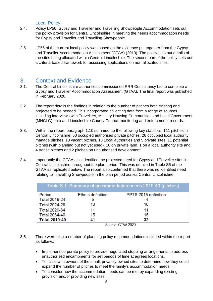#### Local Policy

- <span id="page-4-0"></span>2.4. Policy LP56: Gypsy and Traveller and Travelling Showpeople Accommodation sets out the policy provision for Central Lincolnshire in meeting the needs accommodation needs for Gypsy and Traveller and Travelling Showpeople.
- 2.5. LP56 of the current local policy was based on the evidence put together from the Gypsy and Traveller Accommodation Assessment (GTAA) (2013). The policy sets out details of the sites being allocated within Central Lincolnshire. The second part of the policy sets out a criteria-based framework for assessing applications on non-allocated sites.

#### <span id="page-4-1"></span>3. Context and Evidence

- 3.1. The Central Lincolnshire authorities commissioned RRR Consultancy Ltd to complete a Gypsy and Traveller Accommodation Assessment (GTAA). The final report was published in February 2020.
- 3.2. The report details the findings in relation to the number of pitches both existing and projected to be needed. This incorporated collecting data from a range of sources including interviews with Travellers, Ministry Housing Communities and Local Government (MHCLG) data and Lincolnshire County Council monitoring and enforcement records.
- 3.3. Within the report, paragraph 1.10 summed up the following key statistics: 111 pitches in Central Lincolnshire, 50 occupied authorised private pitches, 26 occupied local authority manage pitches, 18 vacant pitches, 13 Local authorities and 5 private sites, 11 potential pitches (with planning but not yet used), 10 on private land, 1 on a local authority site and 4 transit pitches and 2 pitches on unauthorised development.
- 3.4. Importantly the GTAA also identified the projected need for Gypsy and Traveller sites in Central Lincolnshire throughout the plan period. This was detailed in Table S5 of the GTAA as replicated below. The report also confirmed that there was no identified need relating to Travelling Showpeople in the plan period across Central Lincolnshire.

| Table S.1: Summary of accommodation needs 2019-40 (pitches) |                          |                               |  |  |
|-------------------------------------------------------------|--------------------------|-------------------------------|--|--|
| Period                                                      | <b>Ethnic definition</b> | PPTS 2015 definition          |  |  |
| <b>Total 2019-24</b>                                        | 5                        | -4                            |  |  |
| <b>Total 2024-29</b>                                        | 10                       | 10                            |  |  |
| <b>Total 2029-34</b>                                        | 11                       | 11                            |  |  |
| <b>Total 2034-40</b>                                        | 15                       | 15                            |  |  |
| <b>Total 2019-40</b>                                        | 41<br>$\sim$             | 32<br>$- - - - - - - - - - -$ |  |  |

Source: GTAA 2020

- 3.5. There were also a number of planning policy recommendations included within the report as follows:
	- Implement corporate policy to provide negotiated stopping arrangements to address unauthorised encampments for set periods of time at agreed locations.
	- To liaise with owners of the small, privately owned sites to determine how they could expand the number of pitches to meet the family's accommodation needs.
	- To consider how the accommodation needs can be met by expanding existing provision and/or providing new sites.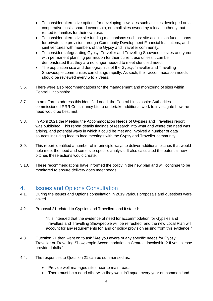- To consider alternative options for developing new sites such as sites developed on a cooperative basis, shared ownership, or small sites owned by a local authority, but rented to families for their own use.
- To consider alternative site funding mechanisms such as: site acquisition funds; loans for private site provision through Community Development Financial Institutions; and joint ventures with members of the Gypsy and Traveller community.
- To consider safeguarding Gypsy, Traveller and Travelling Showpeople sites and yards with permanent planning permission for their current use unless it can be demonstrated that they are no longer needed to meet identified need.
- The population size and demographics of the Gypsy, Traveller and Travelling Showpeople communities can change rapidly. As such, their accommodation needs should be reviewed every 5 to 7 years.
- 3.6. There were also recommendations for the management and monitoring of sites within Central Lincolnshire.
- 3.7. In an effort to address this identified need, the Central Lincolnshire Authorities commissioned RRR Consultancy Ltd to undertake additional work to investigate how the need would be best met.
- 3.8. In April 2021 the Meeting the Accommodation Needs of Gypsies and Travellers report was published. This report details findings of research into what and where the need was arising, and potential ways in which it could be met and involved a number of data sources including face to face meetings with the Gypsy and Traveller community.
- 3.9. This report identified a number of in-principle ways to deliver additional pitches that would help meet the need and some site-specific analysis. It also calculated the potential new pitches these actions would create.
- 3.10. These recommendations have informed the policy in the new plan and will continue to be monitored to ensure delivery does meet needs.

#### <span id="page-5-0"></span>4. Issues and Options Consultation

- 4.1. During the Issues and Options consultation in 2019 various proposals and questions were asked.
- 4.2. Proposal 21 related to Gypsies and Travellers and it stated:

"It is intended that the evidence of need for accommodation for Gypsies and Travellers and Travelling Showpeople will be refreshed, and the new Local Plan will account for any requirements for land or policy provision arising from this evidence."

- 4.3. Question 21 then went on to ask "Are you aware of any specific needs for Gypsy, Traveller or Travelling Showpeople Accommodation in Central Lincolnshire? If yes, please provide details."
- 4.4. The responses to Question 21 can be summarised as:
	- Provide well-managed sites near to main roads.
	- There must be a need otherwise they wouldn't squat every year on common land.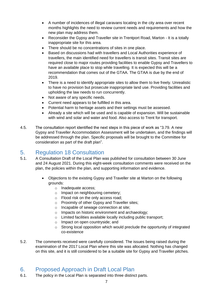- A number of incidences of illegal caravans locating in the city area over recent months highlights the need to review current needs and requirements and how the new plan may address them.
- Reconsider the Gypsy and Traveller site in Trentport Road, Marton It is a totally inappropriate site for this area.
- There should be no concentrations of sites in one place.
- Based on discussions had with travellers and Local Authorities experience of travellers, the main identified need for travellers is transit sites. Transit sites are required close to major routes providing facilities to enable Gypsy and Travellers to have an available place to stop while travelling. It is expected this will be a recommendation that comes out of the GTAA. The GTAA is due by the end of 2019.
- There is a need to identify appropriate sites to allow them to live freely. Unrealistic to have no provision but prosecute inappropriate land use. Providing facilities and upholding the law needs to run concurrently.
- Not aware of any specific needs.
- Current need appears to be fulfilled in this area.
- Potential harm to heritage assets and their settings must be assessed.
- Already a site which will be used and is capable of expansion. Will be sustainable with wind and solar and water and food. Also access to Trent for transport.
- 4.5. The consultation report identified the next steps in this piece of work as "3.79. A new Gypsy and Traveller Accommodation Assessment will be undertaken, and the findings will be addressed through the plan. Specific proposals will be brought to the Committee for consideration as part of the draft plan".

## <span id="page-6-0"></span>5. Regulation 18 Consultation

- 5.1. A Consultation Draft of the Local Plan was published for consultation between 30 June and 24 August 2021. During this eight-week consultation comments were received on the plan, the policies within the plan, and supporting information and evidence.
	- Objections to the existing Gypsy and Traveller site at Marton on the following grounds:
		- o Inadequate access;
		- o Impact on neighbouring cemetery;
		- o Flood risk on the only access road;
		- o Proximity of other Gypsy and Traveller sites;
		- o Incapable of sewage connection at site;
		- o Impacts on historic environment and archaeology;
		- o Limited facilities available locally including public transport;
		- o Impact on open countryside; and
		- o Strong local opposition which would preclude the opportunity of integrated co-existence
- 5.2. The comments received were carefully considered. The issues being raised during the examination of the 2017 Local Plan where this site was allocated. Nothing has changed on this site, and it is still considered to be a suitable site for Gypsy and Traveller pitches.

## <span id="page-6-1"></span>6. Proposed Approach in Draft Local Plan

6.1. The policy in the Local Plan is separated into three distinct parts.